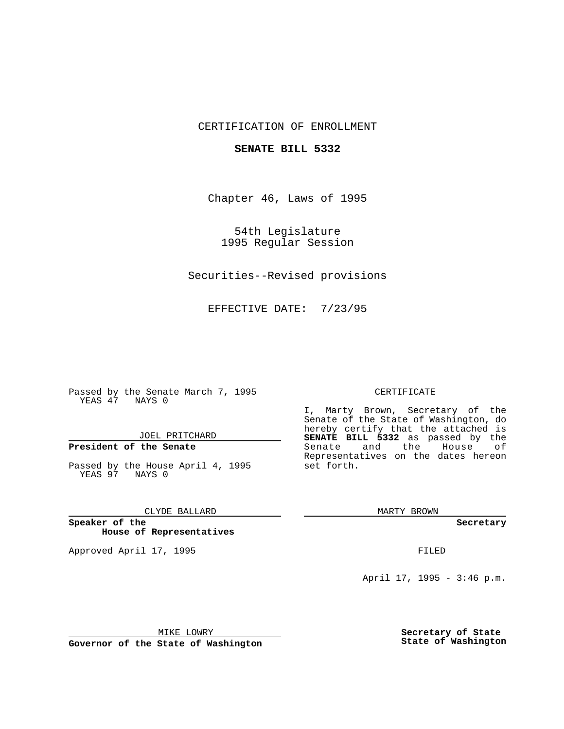### CERTIFICATION OF ENROLLMENT

#### **SENATE BILL 5332**

Chapter 46, Laws of 1995

54th Legislature 1995 Regular Session

Securities--Revised provisions

EFFECTIVE DATE: 7/23/95

Passed by the Senate March 7, 1995 YEAS 47 NAYS 0

JOEL PRITCHARD

# **President of the Senate**

Passed by the House April 4, 1995 YEAS 97 NAYS 0

CLYDE BALLARD

**Speaker of the House of Representatives**

Approved April 17, 1995 **FILED** 

#### CERTIFICATE

I, Marty Brown, Secretary of the Senate of the State of Washington, do hereby certify that the attached is **SENATE BILL 5332** as passed by the Senate and the House of Representatives on the dates hereon set forth.

MARTY BROWN

**Secretary**

April 17, 1995 - 3:46 p.m.

MIKE LOWRY

**Governor of the State of Washington**

**Secretary of State State of Washington**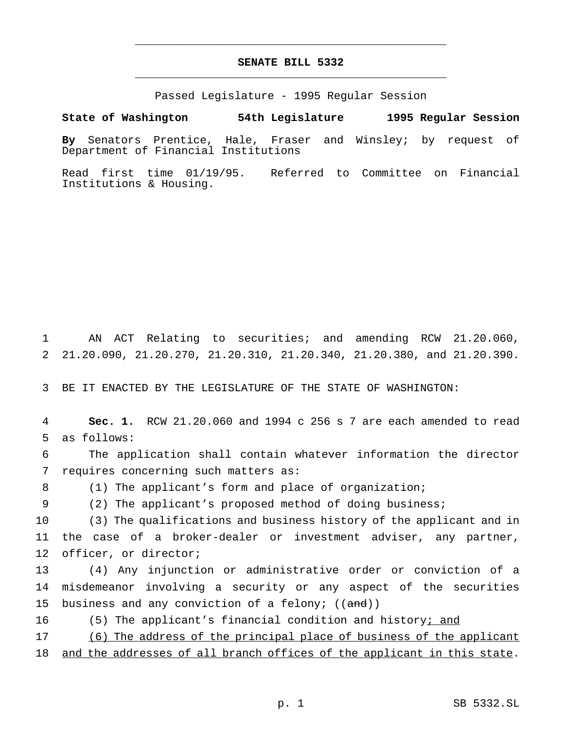## **SENATE BILL 5332** \_\_\_\_\_\_\_\_\_\_\_\_\_\_\_\_\_\_\_\_\_\_\_\_\_\_\_\_\_\_\_\_\_\_\_\_\_\_\_\_\_\_\_\_\_\_\_

\_\_\_\_\_\_\_\_\_\_\_\_\_\_\_\_\_\_\_\_\_\_\_\_\_\_\_\_\_\_\_\_\_\_\_\_\_\_\_\_\_\_\_\_\_\_\_

Passed Legislature - 1995 Regular Session

**State of Washington 54th Legislature 1995 Regular Session**

**By** Senators Prentice, Hale, Fraser and Winsley; by request of Department of Financial Institutions

Read first time 01/19/95. Referred to Committee on Financial Institutions & Housing.

1 AN ACT Relating to securities; and amending RCW 21.20.060, 2 21.20.090, 21.20.270, 21.20.310, 21.20.340, 21.20.380, and 21.20.390.

3 BE IT ENACTED BY THE LEGISLATURE OF THE STATE OF WASHINGTON:

4 **Sec. 1.** RCW 21.20.060 and 1994 c 256 s 7 are each amended to read 5 as follows:

6 The application shall contain whatever information the director 7 requires concerning such matters as:

8 (1) The applicant's form and place of organization;

9 (2) The applicant's proposed method of doing business;

10 (3) The qualifications and business history of the applicant and in 11 the case of a broker-dealer or investment adviser, any partner, 12 officer, or director;

13 (4) Any injunction or administrative order or conviction of a 14 misdemeanor involving a security or any aspect of the securities 15 business and any conviction of a felony;  $((and))$ 

16 (5) The applicant's financial condition and history; and

17 (6) The address of the principal place of business of the applicant

18 and the addresses of all branch offices of the applicant in this state.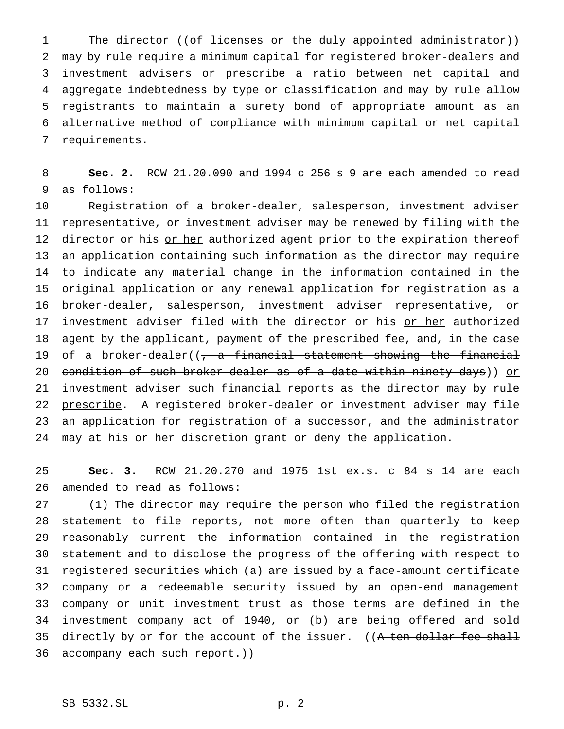1 The director ((of licenses or the duly appointed administrator)) may by rule require a minimum capital for registered broker-dealers and investment advisers or prescribe a ratio between net capital and aggregate indebtedness by type or classification and may by rule allow registrants to maintain a surety bond of appropriate amount as an alternative method of compliance with minimum capital or net capital requirements.

 **Sec. 2.** RCW 21.20.090 and 1994 c 256 s 9 are each amended to read as follows:

 Registration of a broker-dealer, salesperson, investment adviser representative, or investment adviser may be renewed by filing with the 12 director or his or her authorized agent prior to the expiration thereof an application containing such information as the director may require to indicate any material change in the information contained in the original application or any renewal application for registration as a broker-dealer, salesperson, investment adviser representative, or 17 investment adviser filed with the director or his or her authorized agent by the applicant, payment of the prescribed fee, and, in the case 19 of a broker-dealer((, a financial statement showing the financial 20 condition of such broker-dealer as of a date within ninety days)) or 21 investment adviser such financial reports as the director may by rule 22 prescribe. A registered broker-dealer or investment adviser may file an application for registration of a successor, and the administrator may at his or her discretion grant or deny the application.

 **Sec. 3.** RCW 21.20.270 and 1975 1st ex.s. c 84 s 14 are each amended to read as follows:

 (1) The director may require the person who filed the registration statement to file reports, not more often than quarterly to keep reasonably current the information contained in the registration statement and to disclose the progress of the offering with respect to registered securities which (a) are issued by a face-amount certificate company or a redeemable security issued by an open-end management company or unit investment trust as those terms are defined in the investment company act of 1940, or (b) are being offered and sold 35 directly by or for the account of the issuer. ((A ten dollar fee shall 36 accompany each such report.))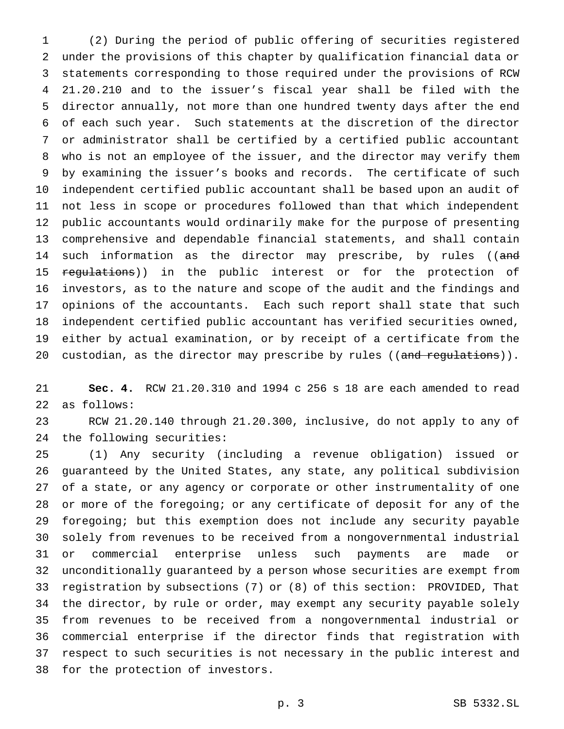(2) During the period of public offering of securities registered under the provisions of this chapter by qualification financial data or statements corresponding to those required under the provisions of RCW 21.20.210 and to the issuer's fiscal year shall be filed with the director annually, not more than one hundred twenty days after the end of each such year. Such statements at the discretion of the director or administrator shall be certified by a certified public accountant who is not an employee of the issuer, and the director may verify them by examining the issuer's books and records. The certificate of such independent certified public accountant shall be based upon an audit of not less in scope or procedures followed than that which independent public accountants would ordinarily make for the purpose of presenting comprehensive and dependable financial statements, and shall contain 14 such information as the director may prescribe, by rules ((and 15 regulations)) in the public interest or for the protection of investors, as to the nature and scope of the audit and the findings and opinions of the accountants. Each such report shall state that such independent certified public accountant has verified securities owned, either by actual examination, or by receipt of a certificate from the 20 custodian, as the director may prescribe by rules ((and regulations)).

 **Sec. 4.** RCW 21.20.310 and 1994 c 256 s 18 are each amended to read as follows:

 RCW 21.20.140 through 21.20.300, inclusive, do not apply to any of the following securities:

 (1) Any security (including a revenue obligation) issued or guaranteed by the United States, any state, any political subdivision of a state, or any agency or corporate or other instrumentality of one or more of the foregoing; or any certificate of deposit for any of the foregoing; but this exemption does not include any security payable solely from revenues to be received from a nongovernmental industrial or commercial enterprise unless such payments are made or unconditionally guaranteed by a person whose securities are exempt from registration by subsections (7) or (8) of this section: PROVIDED, That the director, by rule or order, may exempt any security payable solely from revenues to be received from a nongovernmental industrial or commercial enterprise if the director finds that registration with respect to such securities is not necessary in the public interest and for the protection of investors.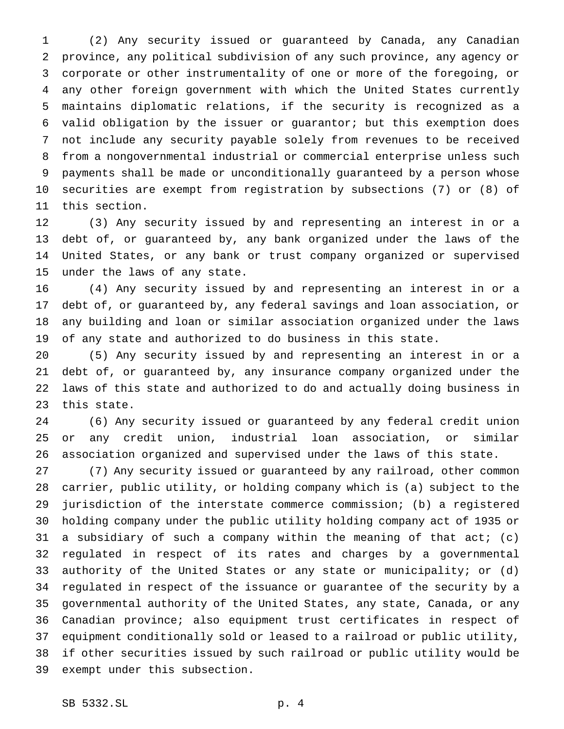(2) Any security issued or guaranteed by Canada, any Canadian province, any political subdivision of any such province, any agency or corporate or other instrumentality of one or more of the foregoing, or any other foreign government with which the United States currently maintains diplomatic relations, if the security is recognized as a valid obligation by the issuer or guarantor; but this exemption does not include any security payable solely from revenues to be received from a nongovernmental industrial or commercial enterprise unless such payments shall be made or unconditionally guaranteed by a person whose securities are exempt from registration by subsections (7) or (8) of this section.

 (3) Any security issued by and representing an interest in or a debt of, or guaranteed by, any bank organized under the laws of the United States, or any bank or trust company organized or supervised under the laws of any state.

 (4) Any security issued by and representing an interest in or a debt of, or guaranteed by, any federal savings and loan association, or any building and loan or similar association organized under the laws of any state and authorized to do business in this state.

 (5) Any security issued by and representing an interest in or a debt of, or guaranteed by, any insurance company organized under the laws of this state and authorized to do and actually doing business in this state.

 (6) Any security issued or guaranteed by any federal credit union or any credit union, industrial loan association, or similar association organized and supervised under the laws of this state.

 (7) Any security issued or guaranteed by any railroad, other common carrier, public utility, or holding company which is (a) subject to the jurisdiction of the interstate commerce commission; (b) a registered holding company under the public utility holding company act of 1935 or a subsidiary of such a company within the meaning of that act; (c) regulated in respect of its rates and charges by a governmental authority of the United States or any state or municipality; or (d) regulated in respect of the issuance or guarantee of the security by a governmental authority of the United States, any state, Canada, or any Canadian province; also equipment trust certificates in respect of equipment conditionally sold or leased to a railroad or public utility, if other securities issued by such railroad or public utility would be exempt under this subsection.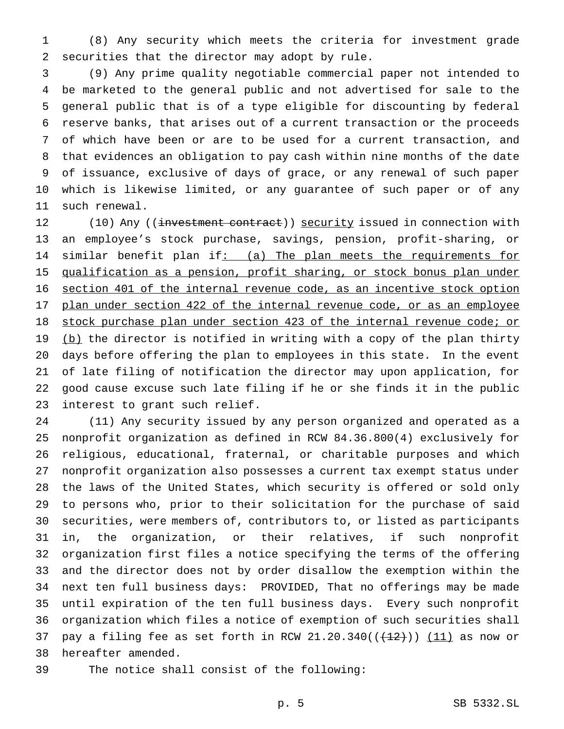(8) Any security which meets the criteria for investment grade securities that the director may adopt by rule.

 (9) Any prime quality negotiable commercial paper not intended to be marketed to the general public and not advertised for sale to the general public that is of a type eligible for discounting by federal reserve banks, that arises out of a current transaction or the proceeds of which have been or are to be used for a current transaction, and that evidences an obligation to pay cash within nine months of the date of issuance, exclusive of days of grace, or any renewal of such paper which is likewise limited, or any guarantee of such paper or of any such renewal.

12 (10) Any ((investment contract)) security issued in connection with an employee's stock purchase, savings, pension, profit-sharing, or 14 similar benefit plan if: (a) The plan meets the requirements for qualification as a pension, profit sharing, or stock bonus plan under section 401 of the internal revenue code, as an incentive stock option 17 plan under section 422 of the internal revenue code, or as an employee stock purchase plan under section 423 of the internal revenue code; or 19 (b) the director is notified in writing with a copy of the plan thirty days before offering the plan to employees in this state. In the event of late filing of notification the director may upon application, for good cause excuse such late filing if he or she finds it in the public interest to grant such relief.

 (11) Any security issued by any person organized and operated as a nonprofit organization as defined in RCW 84.36.800(4) exclusively for religious, educational, fraternal, or charitable purposes and which nonprofit organization also possesses a current tax exempt status under the laws of the United States, which security is offered or sold only to persons who, prior to their solicitation for the purchase of said securities, were members of, contributors to, or listed as participants in, the organization, or their relatives, if such nonprofit organization first files a notice specifying the terms of the offering and the director does not by order disallow the exemption within the next ten full business days: PROVIDED, That no offerings may be made until expiration of the ten full business days. Every such nonprofit organization which files a notice of exemption of such securities shall 37 pay a filing fee as set forth in RCW  $21.20.340((\frac{12}{12})) (11)$  as now or hereafter amended.

The notice shall consist of the following: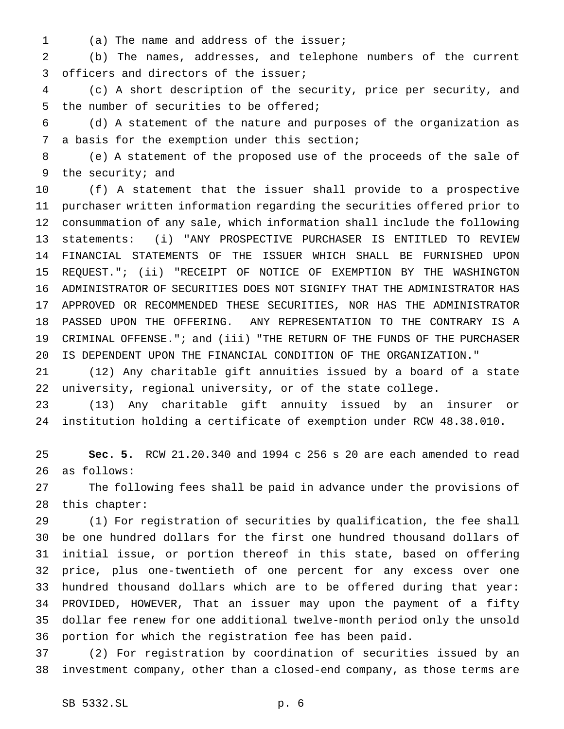(a) The name and address of the issuer;

 (b) The names, addresses, and telephone numbers of the current officers and directors of the issuer;

 (c) A short description of the security, price per security, and the number of securities to be offered;

 (d) A statement of the nature and purposes of the organization as a basis for the exemption under this section;

 (e) A statement of the proposed use of the proceeds of the sale of the security; and

 (f) A statement that the issuer shall provide to a prospective purchaser written information regarding the securities offered prior to consummation of any sale, which information shall include the following statements: (i) "ANY PROSPECTIVE PURCHASER IS ENTITLED TO REVIEW FINANCIAL STATEMENTS OF THE ISSUER WHICH SHALL BE FURNISHED UPON REQUEST."; (ii) "RECEIPT OF NOTICE OF EXEMPTION BY THE WASHINGTON ADMINISTRATOR OF SECURITIES DOES NOT SIGNIFY THAT THE ADMINISTRATOR HAS APPROVED OR RECOMMENDED THESE SECURITIES, NOR HAS THE ADMINISTRATOR PASSED UPON THE OFFERING. ANY REPRESENTATION TO THE CONTRARY IS A CRIMINAL OFFENSE."; and (iii) "THE RETURN OF THE FUNDS OF THE PURCHASER IS DEPENDENT UPON THE FINANCIAL CONDITION OF THE ORGANIZATION."

 (12) Any charitable gift annuities issued by a board of a state university, regional university, or of the state college.

 (13) Any charitable gift annuity issued by an insurer or institution holding a certificate of exemption under RCW 48.38.010.

 **Sec. 5.** RCW 21.20.340 and 1994 c 256 s 20 are each amended to read as follows:

 The following fees shall be paid in advance under the provisions of this chapter:

 (1) For registration of securities by qualification, the fee shall be one hundred dollars for the first one hundred thousand dollars of initial issue, or portion thereof in this state, based on offering price, plus one-twentieth of one percent for any excess over one hundred thousand dollars which are to be offered during that year: PROVIDED, HOWEVER, That an issuer may upon the payment of a fifty dollar fee renew for one additional twelve-month period only the unsold portion for which the registration fee has been paid.

 (2) For registration by coordination of securities issued by an investment company, other than a closed-end company, as those terms are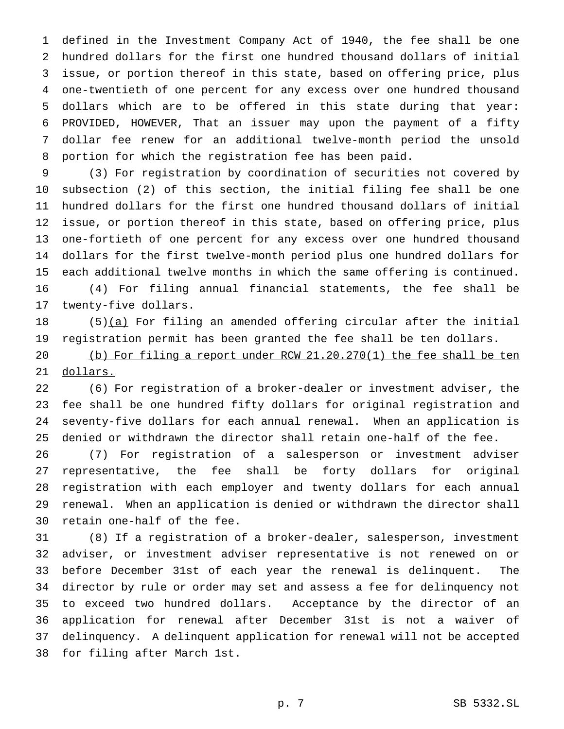defined in the Investment Company Act of 1940, the fee shall be one hundred dollars for the first one hundred thousand dollars of initial issue, or portion thereof in this state, based on offering price, plus one-twentieth of one percent for any excess over one hundred thousand dollars which are to be offered in this state during that year: PROVIDED, HOWEVER, That an issuer may upon the payment of a fifty dollar fee renew for an additional twelve-month period the unsold portion for which the registration fee has been paid.

 (3) For registration by coordination of securities not covered by subsection (2) of this section, the initial filing fee shall be one hundred dollars for the first one hundred thousand dollars of initial issue, or portion thereof in this state, based on offering price, plus one-fortieth of one percent for any excess over one hundred thousand dollars for the first twelve-month period plus one hundred dollars for each additional twelve months in which the same offering is continued. (4) For filing annual financial statements, the fee shall be twenty-five dollars.

18 (5)(a) For filing an amended offering circular after the initial registration permit has been granted the fee shall be ten dollars.

 (b) For filing a report under RCW 21.20.270(1) the fee shall be ten dollars.

 (6) For registration of a broker-dealer or investment adviser, the fee shall be one hundred fifty dollars for original registration and seventy-five dollars for each annual renewal. When an application is denied or withdrawn the director shall retain one-half of the fee.

 (7) For registration of a salesperson or investment adviser representative, the fee shall be forty dollars for original registration with each employer and twenty dollars for each annual renewal. When an application is denied or withdrawn the director shall retain one-half of the fee.

 (8) If a registration of a broker-dealer, salesperson, investment adviser, or investment adviser representative is not renewed on or before December 31st of each year the renewal is delinquent. The director by rule or order may set and assess a fee for delinquency not to exceed two hundred dollars. Acceptance by the director of an application for renewal after December 31st is not a waiver of delinquency. A delinquent application for renewal will not be accepted for filing after March 1st.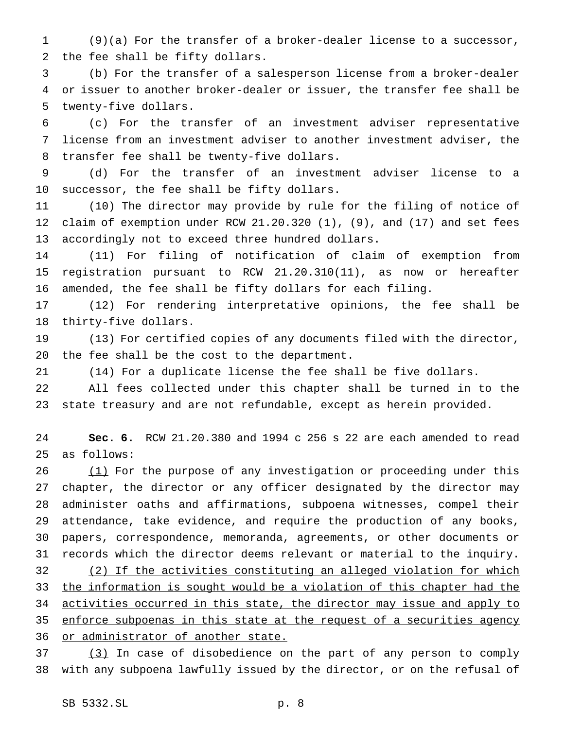(9)(a) For the transfer of a broker-dealer license to a successor, the fee shall be fifty dollars.

 (b) For the transfer of a salesperson license from a broker-dealer or issuer to another broker-dealer or issuer, the transfer fee shall be twenty-five dollars.

 (c) For the transfer of an investment adviser representative license from an investment adviser to another investment adviser, the transfer fee shall be twenty-five dollars.

 (d) For the transfer of an investment adviser license to a successor, the fee shall be fifty dollars.

 (10) The director may provide by rule for the filing of notice of claim of exemption under RCW 21.20.320 (1), (9), and (17) and set fees accordingly not to exceed three hundred dollars.

 (11) For filing of notification of claim of exemption from registration pursuant to RCW 21.20.310(11), as now or hereafter amended, the fee shall be fifty dollars for each filing.

 (12) For rendering interpretative opinions, the fee shall be thirty-five dollars.

 (13) For certified copies of any documents filed with the director, the fee shall be the cost to the department.

(14) For a duplicate license the fee shall be five dollars.

 All fees collected under this chapter shall be turned in to the state treasury and are not refundable, except as herein provided.

 **Sec. 6.** RCW 21.20.380 and 1994 c 256 s 22 are each amended to read as follows:

 (1) For the purpose of any investigation or proceeding under this chapter, the director or any officer designated by the director may administer oaths and affirmations, subpoena witnesses, compel their attendance, take evidence, and require the production of any books, papers, correspondence, memoranda, agreements, or other documents or records which the director deems relevant or material to the inquiry. (2) If the activities constituting an alleged violation for which the information is sought would be a violation of this chapter had the activities occurred in this state, the director may issue and apply to 35 enforce subpoenas in this state at the request of a securities agency 36 or administrator of another state.

 (3) In case of disobedience on the part of any person to comply with any subpoena lawfully issued by the director, or on the refusal of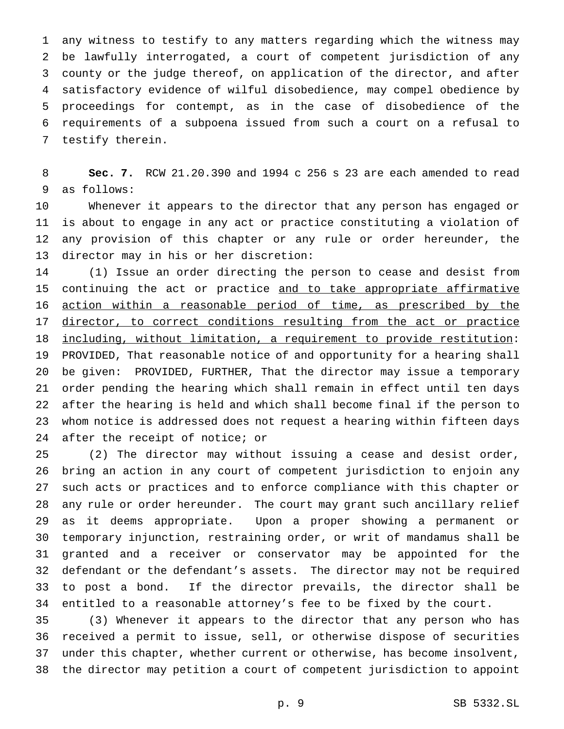any witness to testify to any matters regarding which the witness may be lawfully interrogated, a court of competent jurisdiction of any county or the judge thereof, on application of the director, and after satisfactory evidence of wilful disobedience, may compel obedience by proceedings for contempt, as in the case of disobedience of the requirements of a subpoena issued from such a court on a refusal to testify therein.

 **Sec. 7.** RCW 21.20.390 and 1994 c 256 s 23 are each amended to read as follows:

 Whenever it appears to the director that any person has engaged or is about to engage in any act or practice constituting a violation of any provision of this chapter or any rule or order hereunder, the director may in his or her discretion:

 (1) Issue an order directing the person to cease and desist from 15 continuing the act or practice and to take appropriate affirmative action within a reasonable period of time, as prescribed by the 17 director, to correct conditions resulting from the act or practice including, without limitation, a requirement to provide restitution: PROVIDED, That reasonable notice of and opportunity for a hearing shall be given: PROVIDED, FURTHER, That the director may issue a temporary order pending the hearing which shall remain in effect until ten days after the hearing is held and which shall become final if the person to whom notice is addressed does not request a hearing within fifteen days after the receipt of notice; or

 (2) The director may without issuing a cease and desist order, bring an action in any court of competent jurisdiction to enjoin any such acts or practices and to enforce compliance with this chapter or any rule or order hereunder. The court may grant such ancillary relief as it deems appropriate. Upon a proper showing a permanent or temporary injunction, restraining order, or writ of mandamus shall be granted and a receiver or conservator may be appointed for the defendant or the defendant's assets. The director may not be required to post a bond. If the director prevails, the director shall be entitled to a reasonable attorney's fee to be fixed by the court.

 (3) Whenever it appears to the director that any person who has received a permit to issue, sell, or otherwise dispose of securities under this chapter, whether current or otherwise, has become insolvent, the director may petition a court of competent jurisdiction to appoint